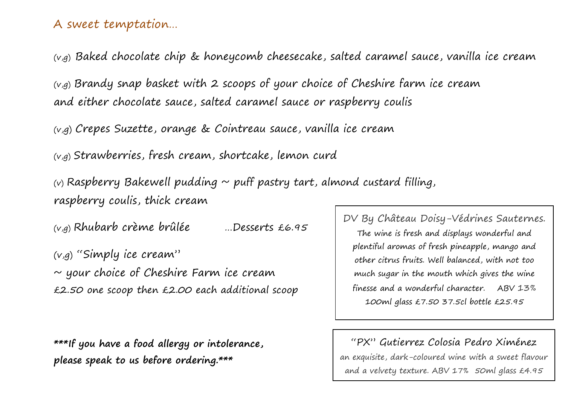## A sweet temptation…

 $(v,q)$  Baked chocolate chip & honeycomb cheesecake, salted caramel sauce, vanilla ice cream

(v,g) Brandy snap basket with 2 scoops of your choice of Cheshire farm ice cream and either chocolate sauce, salted caramel sauce or raspberry coulis

(v,g) Crepes Suzette, orange & Cointreau sauce, vanilla ice cream

(v,g) Strawberries, fresh cream, shortcake, lemon curd

(v) Raspberry Bakewell pudding  $\sim$  puff pastry tart, almond custard filling, raspberry coulis, thick cream

(v,g) Rhubarb crème brûlée …Desserts £6.95

(v,g) "Simply ice cream"  $\sim$  your choice of Cheshire Farm ice cream £2.50 one scoop then £2.00 each additional scoop

**\*\*\*If you have a food allergy or intolerance, please speak to us before ordering.\*\*\***

DV By Château Doisy-Védrines Sauternes. The wine is fresh and displays wonderful and plentiful aromas of fresh pineapple, mango and other citrus fruits. Well balanced, with not too much sugar in the mouth which gives the wine finesse and a wonderful character. ABV 13% 100ml glass £7.50 37.5cl bottle £25.95

"PX" Gutierrez Colosia Pedro Ximénez

an exquisite, dark-coloured wine with a sweet flavour and a velvety texture. ABV 17% 50ml glass £4.95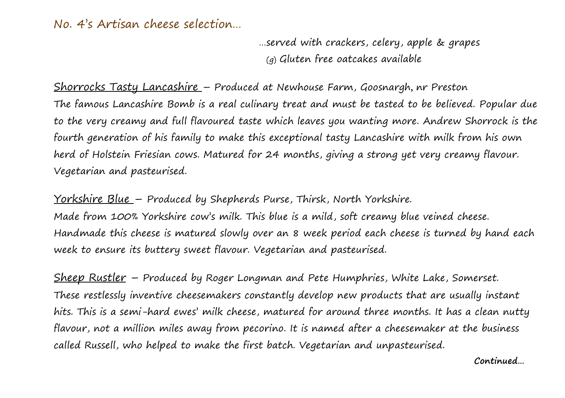No. 4's Artisan cheese selection…

…served with crackers, celery, apple & grapes (g) Gluten free oatcakes available

Shorrocks Tasty Lancashire – Produced at Newhouse Farm, Goosnargh, nr Preston The famous Lancashire Bomb is a real culinary treat and must be tasted to be believed. Popular due to the very creamy and full flavoured taste which leaves you wanting more. Andrew Shorrock is the fourth generation of his family to make this exceptional tasty Lancashire with milk from his own herd of Holstein Friesian cows. Matured for 24 months, giving a strong yet very creamy flavour. Vegetarian and pasteurised.

Yorkshire Blue – Produced by Shepherds Purse, Thirsk, North Yorkshire. Made from 100% Yorkshire cow's milk. This blue is a mild, soft creamy blue veined cheese. Handmade this cheese is matured slowly over an 8 week period each cheese is turned by hand each week to ensure its buttery sweet flavour. Vegetarian and pasteurised.

Sheep Rustler – Produced by Roger Longman and Pete Humphries, White Lake, Somerset. These restlessly inventive cheesemakers constantly develop new products that are usually instant hits. This is a semi-hard ewes' milk cheese, matured for around three months. It has a clean nutty flavour, not a million miles away from pecorino. It is named after a cheesemaker at the business called Russell, who helped to make the first batch. Vegetarian and unpasteurised.

 **Continued…**